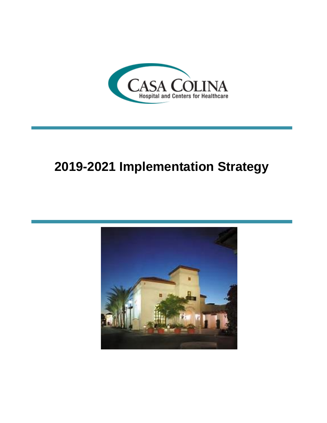

# **2019-2021 Implementation Strategy**

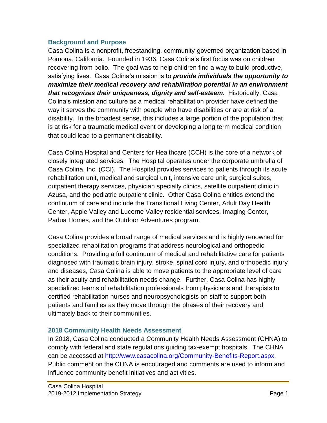#### **Background and Purpose**

Casa Colina is a nonprofit, freestanding, community-governed organization based in Pomona, California. Founded in 1936, Casa Colina's first focus was on children recovering from polio. The goal was to help children find a way to build productive, satisfying lives. Casa Colina's mission is to *provide individuals the opportunity to maximize their medical recovery and rehabilitation potential in an environment that recognizes their uniqueness, dignity and self-esteem.* Historically, Casa Colina's mission and culture as a medical rehabilitation provider have defined the way it serves the community with people who have disabilities or are at risk of a disability. In the broadest sense, this includes a large portion of the population that is at risk for a traumatic medical event or developing a long term medical condition that could lead to a permanent disability.

Casa Colina Hospital and Centers for Healthcare (CCH) is the core of a network of closely integrated services. The Hospital operates under the corporate umbrella of Casa Colina, Inc. (CCI). The Hospital provides services to patients through its acute rehabilitation unit, medical and surgical unit, intensive care unit, surgical suites, outpatient therapy services, physician specialty clinics, satellite outpatient clinic in Azusa, and the pediatric outpatient clinic. Other Casa Colina entities extend the continuum of care and include the Transitional Living Center, Adult Day Health Center, Apple Valley and Lucerne Valley residential services, Imaging Center, Padua Homes, and the Outdoor Adventures program.

Casa Colina provides a broad range of medical services and is highly renowned for specialized rehabilitation programs that address neurological and orthopedic conditions. Providing a full continuum of medical and rehabilitative care for patients diagnosed with traumatic brain injury, stroke, spinal cord injury, and orthopedic injury and diseases, Casa Colina is able to move patients to the appropriate level of care as their acuity and rehabilitation needs change. Further, Casa Colina has highly specialized teams of rehabilitation professionals from physicians and therapists to certified rehabilitation nurses and neuropsychologists on staff to support both patients and families as they move through the phases of their recovery and ultimately back to their communities.

# **2018 Community Health Needs Assessment**

In 2018, Casa Colina conducted a Community Health Needs Assessment (CHNA) to comply with federal and state regulations guiding tax-exempt hospitals. The CHNA can be accessed at [http://www.casacolina.org/Community-Benefits-Report.aspx.](http://www.casacolina.org/Community-Benefits-Report.aspx) Public comment on the CHNA is encouraged and comments are used to inform and influence community benefit initiatives and activities.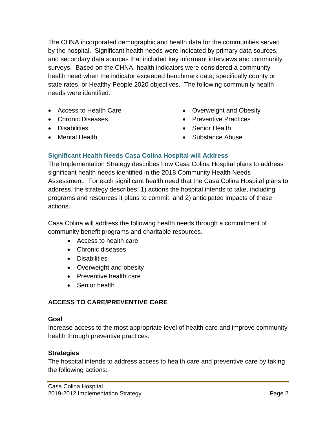The CHNA incorporated demographic and health data for the communities served by the hospital. Significant health needs were indicated by primary data sources, and secondary data sources that included key informant interviews and community surveys. Based on the CHNA, health indicators were considered a community health need when the indicator exceeded benchmark data; specifically county or state rates, or Healthy People 2020 objectives. The following community health needs were identified:

- Access to Health Care
- Chronic Diseases
- Disabilities
- Mental Health
- Overweight and Obesity
- Preventive Practices
- Senior Health
- Substance Abuse

# **Significant Health Needs Casa Colina Hospital will Address**

The Implementation Strategy describes how Casa Colina Hospital plans to address significant health needs identified in the 2018 Community Health Needs Assessment. For each significant health need that the Casa Colina Hospital plans to address, the strategy describes: 1) actions the hospital intends to take, including programs and resources it plans to commit; and 2) anticipated impacts of these actions.

Casa Colina will address the following health needs through a commitment of community benefit programs and charitable resources.

- Access to health care
- Chronic diseases
- Disabilities
- Overweight and obesity
- Preventive health care
- Senior health

# **ACCESS TO CARE/PREVENTIVE CARE**

#### **Goal**

Increase access to the most appropriate level of health care and improve community health through preventive practices.

#### **Strategies**

The hospital intends to address access to health care and preventive care by taking the following actions: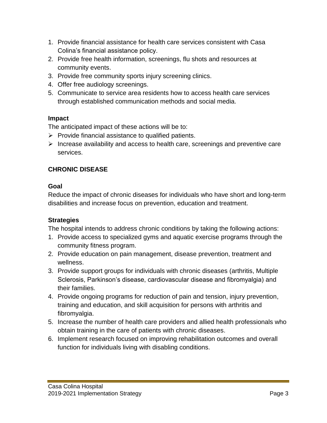- 1. Provide financial assistance for health care services consistent with Casa Colina's financial assistance policy.
- 2. Provide free health information, screenings, flu shots and resources at community events.
- 3. Provide free community sports injury screening clinics.
- 4. Offer free audiology screenings.
- 5. Communicate to service area residents how to access health care services through established communication methods and social media.

## **Impact**

The anticipated impact of these actions will be to:

- $\triangleright$  Provide financial assistance to qualified patients.
- $\triangleright$  Increase availability and access to health care, screenings and preventive care services.

# **CHRONIC DISEASE**

#### **Goal**

Reduce the impact of chronic diseases for individuals who have short and long-term disabilities and increase focus on prevention, education and treatment.

# **Strategies**

The hospital intends to address chronic conditions by taking the following actions:

- 1. Provide access to specialized gyms and aquatic exercise programs through the community fitness program.
- 2. Provide education on pain management, disease prevention, treatment and wellness.
- 3. Provide support groups for individuals with chronic diseases (arthritis, Multiple Sclerosis, Parkinson's disease, cardiovascular disease and fibromyalgia) and their families.
- 4. Provide ongoing programs for reduction of pain and tension, injury prevention, training and education, and skill acquisition for persons with arthritis and fibromyalgia.
- 5. Increase the number of health care providers and allied health professionals who obtain training in the care of patients with chronic diseases.
- 6. Implement research focused on improving rehabilitation outcomes and overall function for individuals living with disabling conditions.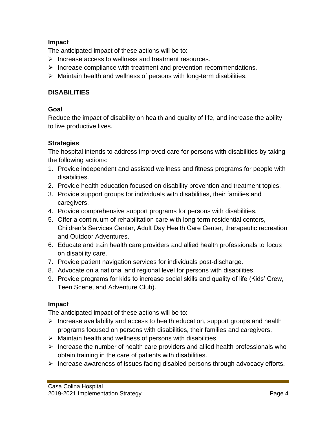## **Impact**

The anticipated impact of these actions will be to:

- $\triangleright$  Increase access to wellness and treatment resources.
- $\triangleright$  Increase compliance with treatment and prevention recommendations.
- $\triangleright$  Maintain health and wellness of persons with long-term disabilities.

## **DISABILITIES**

## **Goal**

Reduce the impact of disability on health and quality of life, and increase the ability to live productive lives.

# **Strategies**

The hospital intends to address improved care for persons with disabilities by taking the following actions:

- 1. Provide independent and assisted wellness and fitness programs for people with disabilities.
- 2. Provide health education focused on disability prevention and treatment topics.
- 3. Provide support groups for individuals with disabilities, their families and caregivers.
- 4. Provide comprehensive support programs for persons with disabilities.
- 5. Offer a continuum of rehabilitation care with long-term residential centers, Children's Services Center, Adult Day Health Care Center, therapeutic recreation and Outdoor Adventures.
- 6. Educate and train health care providers and allied health professionals to focus on disability care.
- 7. Provide patient navigation services for individuals post-discharge.
- 8. Advocate on a national and regional level for persons with disabilities.
- 9. Provide programs for kids to increase social skills and quality of life (Kids' Crew, Teen Scene, and Adventure Club).

# **Impact**

The anticipated impact of these actions will be to:

- $\triangleright$  Increase availability and access to health education, support groups and health programs focused on persons with disabilities, their families and caregivers.
- $\triangleright$  Maintain health and wellness of persons with disabilities.
- $\triangleright$  Increase the number of health care providers and allied health professionals who obtain training in the care of patients with disabilities.
- $\triangleright$  Increase awareness of issues facing disabled persons through advocacy efforts.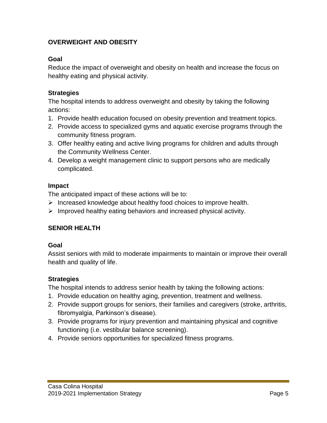# **OVERWEIGHT AND OBESITY**

## **Goal**

Reduce the impact of overweight and obesity on health and increase the focus on healthy eating and physical activity.

#### **Strategies**

The hospital intends to address overweight and obesity by taking the following actions:

- 1. Provide health education focused on obesity prevention and treatment topics.
- 2. Provide access to specialized gyms and aquatic exercise programs through the community fitness program.
- 3. Offer healthy eating and active living programs for children and adults through the Community Wellness Center.
- 4. Develop a weight management clinic to support persons who are medically complicated.

#### **Impact**

The anticipated impact of these actions will be to:

- $\triangleright$  Increased knowledge about healthy food choices to improve health.
- $\triangleright$  Improved healthy eating behaviors and increased physical activity.

# **SENIOR HEALTH**

#### **Goal**

Assist seniors with mild to moderate impairments to maintain or improve their overall health and quality of life.

# **Strategies**

The hospital intends to address senior health by taking the following actions:

- 1. Provide education on healthy aging, prevention, treatment and wellness.
- 2. Provide support groups for seniors, their families and caregivers (stroke, arthritis, fibromyalgia, Parkinson's disease).
- 3. Provide programs for injury prevention and maintaining physical and cognitive functioning (i.e. vestibular balance screening).
- 4. Provide seniors opportunities for specialized fitness programs.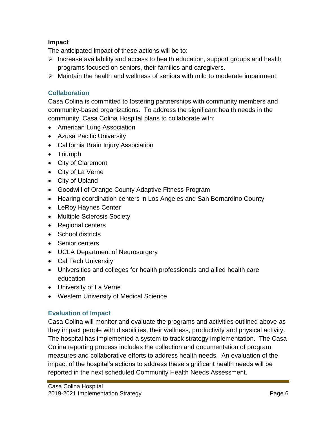## **Impact**

The anticipated impact of these actions will be to:

- $\triangleright$  Increase availability and access to health education, support groups and health programs focused on seniors, their families and caregivers.
- $\triangleright$  Maintain the health and wellness of seniors with mild to moderate impairment.

## **Collaboration**

Casa Colina is committed to fostering partnerships with community members and community-based organizations. To address the significant health needs in the community, Casa Colina Hospital plans to collaborate with:

- American Lung Association
- Azusa Pacific University
- California Brain Injury Association
- Triumph
- City of Claremont
- City of La Verne
- City of Upland
- Goodwill of Orange County Adaptive Fitness Program
- Hearing coordination centers in Los Angeles and San Bernardino County
- LeRoy Haynes Center
- Multiple Sclerosis Society
- Regional centers
- School districts
- Senior centers
- UCLA Department of Neurosurgery
- Cal Tech University
- Universities and colleges for health professionals and allied health care education
- University of La Verne
- Western University of Medical Science

# **Evaluation of Impact**

Casa Colina will monitor and evaluate the programs and activities outlined above as they impact people with disabilities, their wellness, productivity and physical activity. The hospital has implemented a system to track strategy implementation. The Casa Colina reporting process includes the collection and documentation of program measures and collaborative efforts to address health needs. An evaluation of the impact of the hospital's actions to address these significant health needs will be reported in the next scheduled Community Health Needs Assessment.